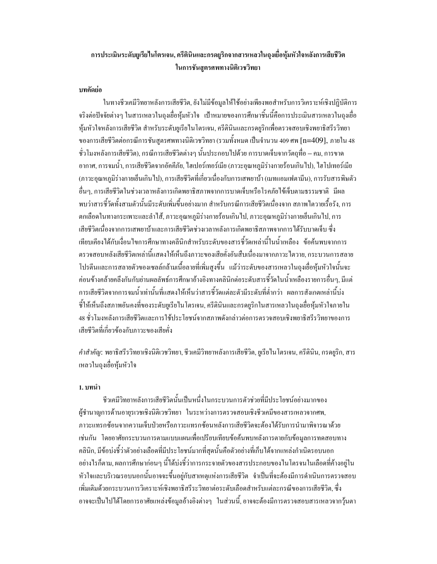# ี การประเมินระดับยูเรียในโตรเจน, ครีตินินและกรดยูริกจากสารเหลวในถุงเยื่อหุ้มหัวใจหลังการเสียชีวิต ในการชั้นสตรศพทางนิติเวชวิทยา

#### บทคัดย่อ

ในทางชีวเคมีวิทยาหลังการเสียชีวิต, ยังไม่มีข้อมูลให้ใช้อย่างเพียงพอสำหรับการวิเคราะห์เชิงปฏิบัติการ จริงต่อปัจจัยต่างๆ ในสารเหลวในถงเชื่อห้มหัวใจ เป้าหมายของการศึกษาชิ้นนี้คือการประเมินสารเหลวในถงเชื่อ ห้มหัวใจหลังการเสียชีวิต สำหรับระดับยเรียไนโตรเจน, ครีตินินและกรคยริกเพื่อตรวจสอบเชิงพยาธิสรีรวิทยา ี ของการเสียชีวิตต่อกรณีการชั้นสูตรศพทางนิติเวชวิทยา (รวมทั้งหมด เป็นจำนวน 409 ศพ [n=409], ภายใน 48 ์ ชั่วโมงหลังการเสียชีวิต), กรณีการเสียชีวิตต่างๆ นั้นประกอบไปด้วย การบาดเจ็บจากวัตถุที่อ – คม, การขาด ี อากาศ, การจมน้ำ, การเสียชีวิตจากอัคคีภัย, ไฮเปอร์เทอร์เมีย (ภาวะอณหภมิร่างกายร้อนเกินไป), ไฮ โปเทอร์เมีย (ภาวะอุณหภูมิร่างกายเย็นเกินไป), การเสียชีวิตที่เกี่ยวเนื่องกับการเสพยาบ้า (เมทแอมเฟตามีน), การรับสารพิษตัว ้อื่นๆ, การเสียชีวิตในช่วงเวลาหลังการเกิดพยาธิสภาพจากการบาดเจ็บหรือโรคภัยใข้เจ็บตามธรรมชาติ มีผล พบว่าสารซี้วัดทั้งสามตัวนั้นมีระดับเพิ่มขึ้นอย่างมาก สำหรับกรณีการเสียชีวิตเนื่องจาก สภาพไตวายเรื้อรัง, การ ตกเลือดในทางกระเพาะและลำใส้, ภาวะอุณหภูมิร่างกายร้อนเกินไป, ภาวะอุณหภูมิร่างกายเย็นเกินไป, การ เสียชีวิตเนื่องจากการเสพยาบ้าและการเสียชีวิตช่วงเวลาหลังการเกิดพยาธิสภาพจากการได้รับบาดเจ็บ ซึ่ง ้เทียบเคียงได้กับเงื่อนไขการศึกษาทางคลีนิกสำหรับระดับของสารชี้วัดเหล่านี้ในน้ำเหลือง ข้อค้นพบจากการ ิตรวจสอบหลังเสียชีวิตเหล่านี้แสดงให้เห็นถึงภาวะของเสียคั่งอันสืบเนื่องมาจากภาวะไตวาย, กระบวนการสลาย โปรตีนและการสลายตัวของเซลล์กล้ามเนื้อลายที่เพิ่มสูงขึ้น แม้ว่าระดับของสารเหลวในถุงเยื่อหุ้มหัวใจนั้นจะ ้ค่อนข้างคล้ายคลึงกันกับย่านผลลัพธ์การศึกษาอ้างอิงทางคลินิกต่อระดับสารชี้วัดในน้ำเหลืองรายการอื่นๆ, มีแต่ ี<br>การเสียชีวิตจากการจมน้ำเท่านั้นที่แสดงให้เห็นว่าสารชี้วัดแต่ละตัวมีระดับที่ต่ำกว่า ผลการสังเกตเหล่านี้บ่ง ซี่ให้เห็นถึงสภาพอันคงที่ของระดับยูเรียในโตรเจน, ครีตินินและกรดยูริกในสารเหลวในถุงเยื่อหุ้มหัวใจภายใน 48 ชั่วโมงหลังการเสียชีวิตและการใช้ประโยชน์จากสภาพคังกล่าวต่อการตรวจสอบเชิงพยาธิสรีรวิทยาของการ เสียชีวิตที่เกี่ยวข้องกับภาวะของเสียคั่ง

้*คำสำคัญ*: พยาธิสรีรวิทยาเชิงนิติเวชวิทยา, ชีวเคมีวิทยาหลังการเสียชีวิต, ยูเรียในโตรเจน, ครีตินิน, กรดยูริก, สาร เหลวในถุงเชื้อหุ้มหัวใจ

## 1. บทนำ

ชีวเคมีวิทยาหลังการเสียชีวิตนั้นเป็นหนึ่งในกระบวนการตัวช่วยที่มีประโยชน์อย่างมากของ ผู้ชำนาญการค้านอายุรเวชเชิงนิติเวชวิทยา ในระหว่างการตรวจสอบเชิงชีวเคมีของสารเหลวจากศพ, ภาวะแทรกซ้อนจากความเจ็บป่วยหรือภาวะแทรกซ้อนหลังการเสียชีวิตจะต้องใด้รับการนำมาพิจารณาด้วย เช่นกัน โดยอาศัยกระบวนการตามแบบแผนเพื่อเปรียบเทียบข้อค้นพบหลังการตายกับข้อมูลการทดสอบทาง ึ คลินิก, มีข้อบ่งชี้ว่าตัวอย่างเลือดที่มีประโยชน์มากที่สุดนั้นคือตัวอย่างที่เก็บได้จากแหล่งกำเนิดรอบนอก ้อย่างไรก็ตาม, ผลการศึกษาก่อนๆ นี้ได้บ่งชี้ว่าการกระจายตัวของสารประกอบของไนโตรจนในเลือดที่ค้างอยู่ใน หัวใจและบริเวณรอบนอกนั้นอาจจะขึ้นอย่กับสาเหตแห่งการเสียชีวิต จำเป็นที่จะต้องมีการดำเนินการตรวจสอบ เพิ่มเติมด้วยกระบวนการวิเคราะห์เชิงพยาธิสรีระวิทยาต่อระดับเลือดสำหรับแต่ละกรณีของการเสียชีวิต, ซึ่ง ้อาจจะเป็นไปได้โดยการอาศัยแหล่งข้อมูลอ้างอิงต่างๆ ในส่วนนี้, อาจจะต้องมีการตรวจสอบสารเหลวจากวุ้นตา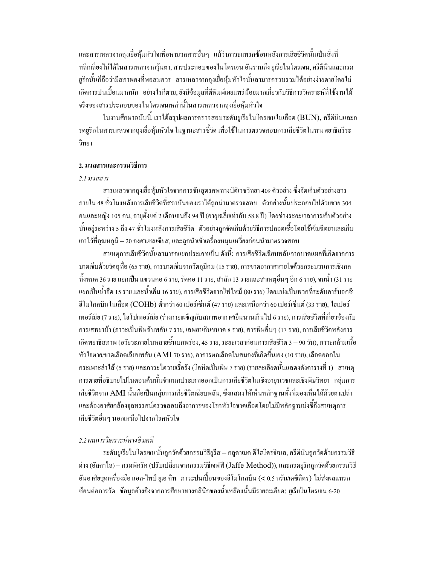และสารเหลวจากถุงเยื่อหุ้มหัวใจเพื่อหามวลสารอื่นๆ แม้ว่าภาวะแทรกซ้อนหลังการเสียชีวิตนั้นเป็นสิ่งที่ หลีกเลี่ยงไม่ได้ในสารเหลวจากวุ้นตา, สารประกอบของในโตรเจน อันรวมถึง ยูเรียไนโตรเจน, ครีตินินและกรด ้ยูริกนั้นก็ถือว่ามีสภาพคงที่พอสมควร สารเหลวจากถุงเยื่อหุ้มหัวใจนั้นสามารถรวบรวมได้อย่างง่ายดายโดยไม่ ้เกิดการปนเปื้อนมากนัก อย่างไรก็ตาม, ยังมีข้อมูลที่ตีพิมพ์เผยแพร่น้อยมากเกี่ยวกับวิธีการวิเคราะห์ที่ใช้งานได้ ้ จริงของสารประกอบของในโตรเจนเหล่านี้ในสารเหลวจากถุงเชื่อหุ้มหัวใจ

ในงานศึกษาฉบับนี้, เราได้สรุปผลการตรวจสอบระดับยูเรียในโตรเจนในเลือด (BUN), ครีตินินและก ้ รดยูริกในสารเหลวจากถุงเยื่อหุ้มหัวใจ ในฐานะสารชี้วัด เพื่อใช้ในการตรวจสอบการเสียชีวิตในทางพยาธิสรีระ วิทยา

### 2. มวลสารและกรรมวิธีการ

#### 2.1 มวลสาร

ี่ สารเหลวจากถงเชื่อห้มหัวใจจากการชันสตรศพทางนิติเวชวิทยา 409 ตัวอย่าง ซึ่งจัดเก็บตัวอย่างสาร ภายใน 48 ชั่วโมงหลังการเสียชีวิตที่สถาบันของเราได้ถูกนำมาตรวจสอบ ตัวอย่างนั้นประกอบไปด้วยชาย 304 ึ คนและหญิง 105 คน, อายุตั้งแต่ 2 เดือนจนถึง 94 ปี (อายุเฉลี่ยเท่ากับ 58.8 ปี) โดยช่วงระยะเวลาการเก็บตัวอย่าง ้นั้นอย่ระหว่าง 5 ถึง 47 ชั่วโมงหลังการเสียชีวิต ตัวอย่างถกจัดเก็บด้วยวิธีการปลอดเชื้อโคยใช้เข็มฉีดยาและเก็บ เอาไว้ที่อุณหภูมิ – 20 องศาเซลเซียส, และถูกนำเข้าเครื่องหมุนเหวี่ยงก่อนนำมาตรวจสอบ

สาเหตุการเสียชีวิตนั้นสามารถแยกประเภทเป็น ดังนี้: การเสียชีวิตเฉียบพลันจากบาดแผลที่เกิดจากการ บาดเจ็บด้วยวัตถุที่อ (65 ราย), การบาดเจ็บจากวัตถุมีคม (15 ราย), การขาดอากาศหายใจด้วยกระบวนการเชิงกล ทั้งหมด 36 ราย แยกเป็น แขวนคอ 6 ราย, รัดคอ 11 ราย, สำลัก 13 รายและสาเหตอื่นๆ อีก 6 ราย), จมน้ำ (31 ราย แยกเป็นน้ำจืด 15 ราย และน้ำเค็ม 16 ราย), การเสียชีวิตจากไฟไหม้ (80 ราย) โดยแบ่งเป็นพวกที่ระดับคาร์บอกซี ฮีโมโกลบินในเลือด (COHb) ต่ำกว่า 60 เปอร์เซ็นต์ (47 ราย) และเหนือกว่า 60 เปอร์เซ็นต์ (33 ราย), ไฮเปอร์ เทอร์เมีย (7 ราย), ไฮโปเทอร์เมีย (ร่างกายเผชิญกับสภาพอากาศเย็นนานเกินไป 6 ราย), การเสียชีวิตที่เกี่ยวข้องกับ ึการเสพยาบ้า (ภาวะเป็นพิษฉับพลัน 7 ราย, เสพยาเกินขนาด 8 ราย), สารพิษอื่นๆ (17 ราย), การเสียชีวิตหลังการ ้เกิดพยาธิสภาพ (อวัยวะภายในหลายชิ้นบกพร่อง. 45 ราย. ระยะเวลาก่อนการเสียชีวิต 3 – 90 วัน). ภาวะกล้ามเนื้อ หัวใจตาย/ขาดเลือดเฉียบพลัน (AMI 70 ราย), อาการตกเลือดในสมองที่เกิดขึ้นเอง (10 ราย), เลือดออกใน ึกระเพาะลำไส้ (5 ราย) และภาวะไตวายเรื้อรัง (โลหิตเป็นพิษ 7 ราย) (รายละเอียดนั้นแสดงดังตารางที่ 1) สาเหตุ ึการตายที่อธิบายไปในตอนต้นนั้นจำแนกประเภทออกเป็นการเสียชีวิตในเชิงอายุรเวชและเชิงพิษวิทยา กลุ่มการ เสียชีวิตจาก AMI นั้นถือเป็นกลุ่มการเสียชีวิตเฉียบพลัน, ซึ่งแสดงให้เห็นหลักฐานทั้งที่มองเห็นได้ด้วยตาเปล่า และต้องอาศัยกล้องจลทรรศน์ตรวจสอบถึงอาการของโรคหัวใจขาดเลือดโดยไม่มีหลักฐานบ่งซี้ถึงสาเหตุการ เสียชีวิตอื่นๆ นอกเหนือไปจากโรคหัวใจ

# 2.2 ผลการวิเคราะห์ทางชีวเคมี

ระดับยูเรีย ในโตรเจนนั้นถูกวัดด้วยกรรมวิธียูรีส – กลูตาเมต ดี ไฮ โดรจิเนส, ครีตินินถูกวัดด้วยกรรมวิธี ค่าง (อัลคาไล) – กรดพิคริก (ปรับเปลี่ยนจากกรรมวิธีเจฟฟี (Jaffe Method)), และกรดยูริกถูกวัดด้วยกรรมวิธี อันอาศัยชุดเครื่องมือ แอล-ไทป์ ยูเอ คิท ภาวะปนเปื้อนของฮีโมโกลบิน (< 0.5 กรัม/เคซิลิตร) ไม่ส่งผลแทรก ซ้อนต่อการวัด ข้อมูลอ้างอิงจากการศึกษาทางคลินิกของน้ำเหลืองนั้นมีรายละเอียด: ยูเรียไนโตรเจน 6-20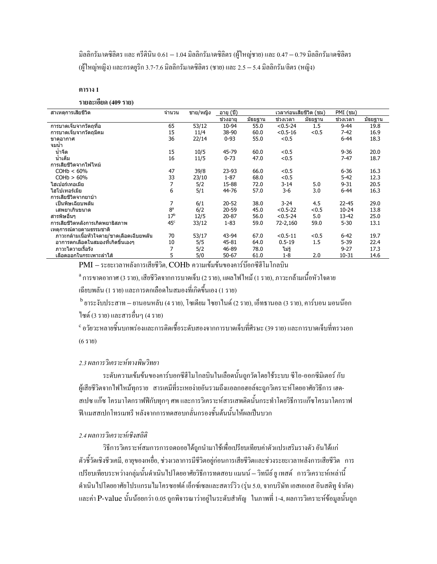มิลลิกรัม/เคซิลิตร และ ครีตินิน 0.61 — 1.04 มิลลิกรัม/เคซิลิตร (ผู้ใหญ่ชาย) และ 0.47 — 0.79 มิลลิกรัม/เคซิลิตร (ผู้ใหญ่หญิง) และกรคยูริก 3.7-7.6 มิลลิกรัม/เคซิลิตร (ชาย) และ 2.5 — 5.4 มิลลิกรัม/ลิตร (หญิง)

#### ตาราง 1

รายละเอียด (409 ราย)

| สาเหตการเสียชีวิต                        | จำนวน           | ชาย/หญิง | อายุ (ปี) | เวลาก่อนเสียชีวิต (ชม) |              |         | PMI (ชม)  |         |
|------------------------------------------|-----------------|----------|-----------|------------------------|--------------|---------|-----------|---------|
|                                          |                 |          | ช่วงอาย   | มัธยฐาน                | ช่วงเวลา     | มัธยฐาน | ช่วงเวลา  | มัธยฐาน |
| การบาดเจ็บจากวัตถที่อ                    | 65              | 53/12    | 10-94     | 55.0                   | $< 0.5 - 24$ | 1.5     | $9 - 44$  | 19.8    |
| การบาดเจ็บจากวัตถมีคม                    | 15              | 11/4     | 38-90     | 60.0                   | $< 0.5 - 16$ | < 0.5   | $7 - 42$  | 16.9    |
| ขาดอากาศ                                 | 36              | 22/14    | $0 - 93$  | 55.0                   | < 0.5        |         | $6 - 44$  | 18.3    |
| จมน้ำ                                    |                 |          |           |                        |              |         |           |         |
| น้ำจืด                                   | 15              | 10/5     | 45-79     | 60.0                   | < 0.5        |         | $9 - 36$  | 20.0    |
| น้ำเค็ม                                  | 16              | 11/5     | $0 - 73$  | 47.0                   | < 0.5        |         | $7 - 47$  | 18.7    |
| การเสียชีวิตจากไฟไหม้                    |                 |          |           |                        |              |         |           |         |
| COHb < 60%                               | 47              | 39/8     | $23-93$   | 66.0                   | < 0.5        |         | $6 - 36$  | 16.3    |
| COHb > 60%                               | 33              | 23/10    | $1 - 87$  | 68.0                   | < 0.5        |         | $5 - 42$  | 12.3    |
| ไฮเปอร์เทอเมีย                           | 7               | 5/2      | 15-88     | 72.0                   | $3 - 14$     | 5.0     | $9 - 31$  | 20.5    |
| ไฮโปเทอร์เมีย                            | 6               | 5/1      | 44-76     | 57.0                   | $3-6$        | 3.0     | $6 - 44$  | 16.3    |
| การเสียชีวิตจากยาบ้า                     |                 |          |           |                        |              |         |           |         |
| เป็นพิษเฉียบพลัน                         | 7               | 6/1      | $20 - 52$ | 38.0                   | $3 - 24$     | 4.5     | $22 - 45$ | 29.0    |
| เสพยาเกินขนาด                            | 8 <sup>a</sup>  | 6/2      | $20 - 59$ | 45.0                   | $< 0.5 - 22$ | < 0.5   | $10 - 24$ | 13.8    |
| สารพิษอื่นๆ                              | 17 <sup>b</sup> | 12/5     | $20 - 87$ | 56.0                   | $< 0.5 - 24$ | 5.0     | 13-42     | 25.0    |
| การเสียชีวิตหลังการเกิดพยาธิสภาพ         | 45 <sup>c</sup> | 33/12    | $1 - 83$  | 59.0                   | 72-2,160     | 59.0    | $5 - 30$  | 13.1    |
| เหตุการณ์ตายตามธรรมชาติ                  |                 |          |           |                        |              |         |           |         |
| ภาวะกล้ามเนื้อหัวใจตาย/ขาดเลือดเฉีบยพลัน | 70              | 53/17    | 43-94     | 67.0                   | $< 0.5 - 11$ | < 0.5   | 6-42      | 19.7    |
| อาการตกเลือดในสมองที่เกิดขึ้นเองๆ        | 10              | 5/5      | 45-81     | 64.0                   | $0.5 - 19$   | 1.5     | $5 - 39$  | 22.4    |
| ภาวะไดวายเรื้อรัง                        | 7               | 5/2      | 46-89     | 78.0                   | ไม่รู้       |         | $9 - 27$  | 17.3    |
| ้เลือดออกในกระเพาะลำไส้                  | 5               | 5/0      | $50 - 67$ | 61.0                   | 1-8          | 2.0     | $10 - 31$ | 14.6    |

PMI – ระยะเวลาหลังการเสียชีวิต, COHb ความเข้มข้นของคาร์บ๊อกซีฮีโมโกลบิน

<sup>a</sup> การขาดอากาศ (3 ราย), เสียชีวิตจากการบาดเจ็บ (2 ราย), แผลไฟไหม้ (1 ราย), ภาวะกล้ามเนื้อหัวใจตาย เฉียบพลัน (1 ราย) และการตกเลือดในสมองที่เกิดขึ้นเอง (1 ราย)

<sup>b</sup> ยาระงับประสาท – ยานอนหลับ (4 ราย), โซเคียม ไซยาไนค์ (2 ราย), เอ็ทธานอล (3 ราย), คาร์บอน มอนน๊อก ใซด์ (3 ราย) และสารอื่นๆ (4 ราย)

 $\degree$ อวัยวะหลายชิ้นบกพร่องและการติดเชื้อระดับสองจากการบาดเจ็บที่ศีรษะ (39 ราย) และการบาดเจ็บที่ทรวงอก  $(6510)$ 

## 2.3 ผลการวิเคราะห์ทางพิษวิทยา

ระดับความเข้มข้นของคาร์บอกซีฮีโมโกลบินในเลือดนั้นถูกวัดโดยใช้ระบบ ซีโอ-ออกซีมิเตอร์ กับ ผู้เสียชีวิตจากไฟไหม้ทุกราย สารเคมีที่ระเหยง่ายอันรวมถึงแอลกอฮอล์จะถูกวิเคราะห์โดยอาศัยวิธีการ เฮด-ี สเปซ แก๊ซ โครมาโตกราฟฟีกับทุกๆ ศพ และการวิเคราะห์สารเสพติดนั้นกระทำโดยวิธีการแก๊ซโครมาโตกราฟ ฟี/แมสสเปกโทรเมทรี หลังจากการทดสอบกลั่นกรองชั้นต้นนั้นให้ผลเป็นบวก

#### 2.4 ผลการวิเคราะห์เชิงสถิติ

วิธีการวิเคราะห์สมการการถดถอยใด้ถูกนำมาใช้เพื่อเปรียบเทียบค่าตัวแปรเสริมรางตัว อันได้แก่ ตัวชี้วัดเชิงชีวเคมี, อายุของเหยื่อ, ช่วงเวลาการมีชีวิตอยู่ก่อนการเสียชีวิตและช่วงระยะเวลาหลังการเสียชีวิต การ เปรียบเทียบระหว่างกลุ่มนั้นคำเนินไปโดยอาศัยวิธีการทดสอบ แมนน์ – วิทนีย์ ยู เทสต์ การวิเคราะห์เหล่านี้ คำเนิน"ไปโดยอาศัยโปรแกรม"ไมโครซอฟต์ เอ็กซ์เซลและสตาร์วิว (รุ่น 5.0, จากบริษัท เอสเอเอส อินสติทู จำกัด) และค่า P-value นั้นน้อยกว่า 0.05 ถูกพิจารณาว่าอยู่ในระดับสำคัญ ในภาพที่ 1-4, ผลการวิเคราะห์ข้อมูลนั้นถูก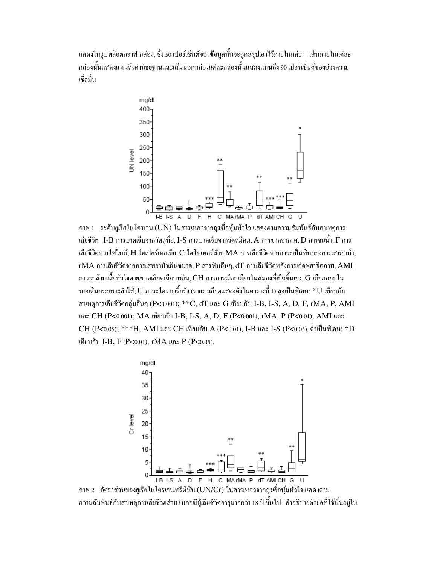้ แสดงในรูปพล๊อตกราฟ-กล่อง, ซึ่ง 50 เปอร์เซ็นต์ของข้อมูลนั้นจะถูกสรุปเอาไว้ภายในกล่อง เส้นภายในแต่ละ ึกล่องนั้นแสดงแทนถึงค่ามัธยรานและเส้นนอกกล่องแต่ละกล่องนั้นแสดงแทนถึง 90 เปอร์เซ็นต์ของช่วงความ เชื่อมั่น



ภาพ 1 ระดับยูเรียในโตรเจน (UN) ในสารเหลวจากถุงเยื่อหุ้มหัวใจ แสดงตามกวามสัมพันธ์กับสาเหตุการ เสียชีวิต  $\,$  I-B การบาดเจ็บจากวัตถุที่อ, I-S การบาดเจ็บจากวัตถุมีกม,  $A$  การขาดอากาศ,  $D$  การจมน้ำ,  $F$  การ เสียชีวิตจากไฟไหม้, H ไฮเปอร์เทอเมีย, C ไฮโปเทอร์เมีย, MA การเสียชีวิตจากภาวะเป็นพิษของการเสพยาบ้า,  $\,$ r $\rm MA$  การเสียชีวิตจากการเสพยาบ้าเกินขนาด,  $\rm P$  สารพิษอื่นๆ,  $\rm dT$  การเสียชีวิตหลังการเกิดพยาธิสภาพ,  $\rm AMI$  $\,$ ภาวะกล้ามเนื้อหัวใจตาย/ขาดเลือดเฉียบพลัน,  ${\rm CH}$  ภาวการณ์ตกเลือดในสมองที่เกิดขึ้นเอง,  ${\rm G}$  เลือดออกใน ทางเดินกระเพาะลำใส้, U ภาวะไตวายเรื้อรัง (รายละเอียดแสดงดังในตารางที่ 1) สูงเป็นพิเศษ: \*U เทียบกับ สาเหตุการเสียชีวิตกลุ่มอื่นๆ (P<0.001); \*\*C, dT และ G เทียบกับ I-B, I-S, A, D, F, rMA, P, AMI และ CH (P<0.001); MA เทียบกับ I-B, I-S, A, D, F (P<0.001), rMA, P (P<0.01), AMI และ CH (P<0.05); \*\*\*H, AMI และ CH เทียบกับ A (P<0.01), I-B และ I-S (P<0.05). ต่ำเป็นพิเศษ: †D เทียบกับ I-B, F (P<0.01), rMA และ P (P<0.05).



ภาพ 2 อัตราส่วนของยูเรียในโตรเจน/ครีตินิน (UN/Cr) ในสารเหลวจากถุงเยื่อหุ้มหัวใจ แสดงตาม ความสัมพันธ์กับสาเหตุการเสียชีวิตสำหรับกรณีผู้เสียชีวิตอายุมากกว่า 18 ปี ขึ้นไป คำอธิบายตัวย่อที่ใช้นั้นอยู่ใน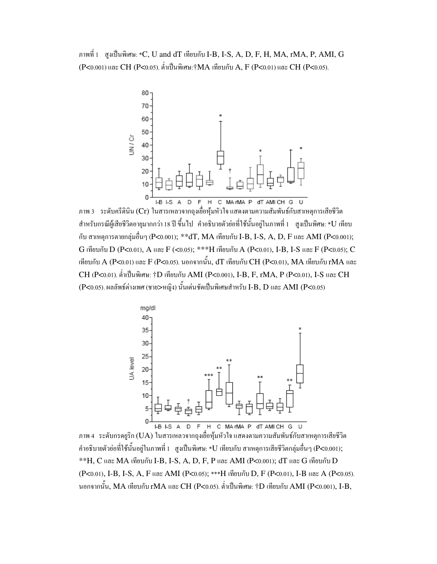ภาพที่ 1 สูงเป็นพิเศษ: \*C, U and dT เทียบกับ I-B, I-S, A, D, F, H, MA, rMA, P, AMI, G (P<0.001) และ CH (P<0.05). ต่ำเป็นพิเศษ:†MA เทียบกับ A, F (P<0.01) และ CH (P<0.05).



ภาพ 3 ระดับครีตินิน (Cr) ในสารเหลวจากถุงเยื่อหุ้มหัวใจ แสดงตามความสัมพันธ์กับสาเหตุการเสียชีวิต สำหรับกรณีผู้เสียชีวิตอายุมากกว่า 18 ปี ขึ้นไป คำอธิบายตัวย่อที่ใช้นั้นอยู่ในภาพที่ 1 สูงเป็นพิศษ: \*U เทียบ กับ สาเหตุการตายกลุ่มอื่นๆ (P<0.001); \*\*dT, MA เทียบกับ I-B, I-S, A, D, F และ AMI (P<0.001);  $G$  เทียบกับ  $D$  (P<0.01),  $A$  และ  $F$  (<0.05);  $^{***}H$  เทียบกับ  $A$  (P<0.01), I-B, I-S และ  $F$  (P<0.05);  $C$ Į ทียบกับ A (P<0.01) และ F (P<0.05). นอกจากนั้น, dT เทียบกับ CH (P<0.01), MA เทียบกับ rMA และ  $CH$  (P<0.01). ต่ำเป็นพิเศษ: †D เทียบกับ AMI (P<0.001), I-B, F, rMA, P (P<0.01), I-S และ  $\rm CH$  $(\text{P}<$ 0.05). ผลลัพธ์ต่างเพศ (ชาย>หญิง) นั้นเด่นชัดเป็นพิเศษสำหรับ I-B, D และ AMI (P<0.05)



ภาพ 4 ระดับกรดยูริก (UA) ในสารเหลวจากถุงเยื่อหุ้มหัวใจ แสดงตามความสัมพันธ์กับสาเหตุการเสียชีวิต คำอธิบายตัวย่อที่ใช้นั้นอยู่ในภาพที่ 1 สูงเป็นพิเศษ: \*U เทียบกับ สาเหตุการเสียชีวิตกลุ่มอื่นๆ (P<0.001);  $*$  $H, C$  และ MA เทียบกับ I-B, I-S, A, D, F, P และ AMI (P<0.001); dT และ G เทียบกับ D (P<0.01), I-B, I-S, A, F และ AMI (P<0.05); \*\*\*H เทียบกับ D, F (P<0.01), I-B และ A (P<0.05). นอกจากนั้น, MA เทียบกับ rMA และ CH (P<0.05). ต่ำเป็นพิเศษ: †D เทียบกับ AMI (P<0.001), I-B,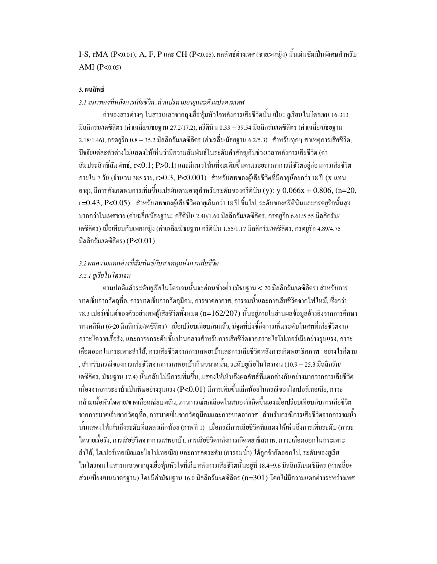I-S, rMA (P<0.01), A, F, P และ CH (P<0.05). ผลลัพธ์ต่างเพศ (ชาย>หญิง) นั้นเด่นชัดเป็นพิเศษสำหรับ AMI ( $P<0.05$ )

#### 3. ผลลัพธ์

# 3.1 สภาพคงที่หลังการเสียชีวิต, ตัวแปรตามอายุและตัวแปรตามเพศ

้ค่าของสารต่างๆ ในสารเหลวจากถุงเฮื่อหุ้มหัวใจหลังการเสียชีวิตนั้น เป็น: ยูเรียนในโตรเจน 16-313 มิลลิกรัม/เคซิลิตร (ค่าเฉลี่ย/มัธยฐาน 27.2/17.2), ครีตินิน 0.33 — 39.54 มิลลิกรัม/เคซิลิตร (ค่าเฉลี่ย/มัธยฐาน 2.18/1.46), กรดยูริก 0.8 – 35.2 มิลลิกรัม/เดซิลิตร (ค่าเฉลี่ย/มัธยฐาน 6.2/5.3) สำหรับทุกๆ สาเหตุการเสียชีวิต, ปัจจัยแต่ละตัวต่างไม่แสดงให้เห็นว่ามีความสัมพันธ์ในระดับคำสักญูกับช่วงเวลาหลังการเสียชีวิต (ค่า สัมประสิทธิ์สัมพัทธ์, r<0.1; P>0.1) และมีแนวโน้มที่จะเพิ่มขึ้นตามระยะเวลาการมีชีวิตอยู่ก่อนการเสียชีวิต ภายใน 7 วัน (จำนวน 385 ราย, **r>** $0.3$ **, P<** $0.001$ ) สำหรับศพของผู้เสียชีวิตที่มีอายุน้อยกว่า 18 ปี (x แทน อาย), มีการสังเกตพบการเพิ่มขึ้นแปรผันตามอายสำหรับระดับของครีตินิน (y): y  $0.066x + 0.806$ , (n=20, r=0.43, P<0.05) สำหรับศพของผู้เสียชีวิตอายุเกินกว่า 18 ปี ขึ้นไป, ระดับของครีตินินและกรดยูริกนั้นสูง มากกว่าในเพศชาย (ค่าเฉลี่ย/มัธยฐาน: ครีตินิน 2.40/1.60 มิลลิกรัม/เคซิลิตร, กรคยูริก 6.61/5.55 มิลลิกรัม/ เคซิลิตร) เมื่อเทียบกับเพศหญิง (ค่าเฉลี่ย/มัธยฐาน ครีตินิน 1.55/1.17 มิลลิกรัม/เคซิลิตร, กรคยริก 4.89/4.75 มิลลิกรัม/เคซิลิตร) ( $P<0.01$ )

# 3.2 ผลความแตกต่างที่สัมพันธ์กับสาเหตแห่งการเสียชีวิต

# 3.2.1 ยูเรีย ใน โตรเจน

ตามปกติแล้วระดับยูเรียไนโตรเจนนั้นจะก่อนข้างต่ำ (มัธยฐาน < 20 มิลลิกรัม/เคซิลิตร) สำหรับการ ี บาดเจ็บจากวัตถุที่อ. การบาดเจ็บจากวัตถุมีคม. การขาดอากาศ. การจมน้ำและการเสียชีวิตจากไฟไหม้. ซึ่งกว่า 78.3 เปอร์เซ็นต์ของตัวอย่างศพผู้เสียชีวิตทั้งหมด (n=162/207) นั้นอยู่ภายในย่านผลข้อมูลอ้างอิงจากการศึกษา ทางคลินิก (6-20 มิลลิกรัม/เคซิลิตร) เมื่อเปรียบเทียบกันแล้ว, มีจคที่บ่งชี้ถึงการเพิ่มระดับในศพที่เสียชีวิตจาก ิภาวะใตวายเรื้อรัง, และการยกระดับขั้นปานกลางสำหรับการเสียชีวิตจากภาวะใฮโปเทอร์เมียอย่างรุนแรง, ภาวะ เลือดออกในกระเพาะลำใส้, การเสียชีวิตจากการเสพยาบ้าและการเสียชีวิตหลังการเกิดพยาธิสภาพ อย่างไรก็ตาม , สำหรับกรณีของการเสียชีวิตจากการเสพยาบ้าเกินขนาดนั้น, ระดับยูเรียไนโตรเจน (10.9 – 25.3 มิลลิกรัม/ เคซิลิตร, มัธยฐาน 17.4) นั้นกลับไม่มีการเพิ่มขึ้น, แสดงให้เห็นถึงผลลัพธ์ที่แตกต่างกันอย่างมากจากการเสียชีวิต เนื่องจากภาวะยาบ้าเป็นพิษอย่างรุนแรง (P<0.01) มีการเพิ่มขึ้นเล็กน้อยในกรณีของไฮเปอร์เทอเมีย. ภาวะ กล้ามเนื้อหัวใจตาย/ขาดเลือดเฉียบพลัน, ภาวการณ์ตกเลือดในสมองที่เกิดขึ้นเองเมื่อเปรียบเทียบกับการเสียชีวิต ิจากการบาดเจ็บจากวัตถุที่อ, การบาดเจ็บจากวัตถุมีคมและการขาดอากาศ สำหรับกรณีการเสียชีวิตจากการจมน้ำ ้นั้นแสดงให้เห็นถึงระดับที่ลดลงเล็กน้อย (ภาพที่ 1) เมื่อกรณีการเสียชีวิตที่แสดงให้เห็นถึงการเพิ่มระดับ (ภาวะ ใตวายเรื้อรัง, การเสียชีวิตจากการเสพยาบ้า, การเสียชีวิตหลังการเกิดพยาธิสภาพ, ภาวะเลือดออกในกระเพาะ ้ ลำไส้, ไฮเปอร์เทอเมียและไฮโปเทอเมีย) และการลดระดับ (การจมน้ำ) ได้ถกจำกัดออกไป, ระดับของยเรีย ในโตรเจนในสารเหลวจากถุงเยื่อหุ้มหัวใจที่เก็บหลังการเสียชีวิตนั้นอยู่ที่ 18.4±9.6 มิลลิกรัม/เดซิลิตร (ค่าเฉลี่ย± ้ส่วนเบี่ยงเบนมาตรฐาน) โดยมีก่ามัธยฐาน 16.0 มิลลิกรัม/เคซิลิตร (n=301) โดยไม่มีกวามแตกต่างระหว่างเพศ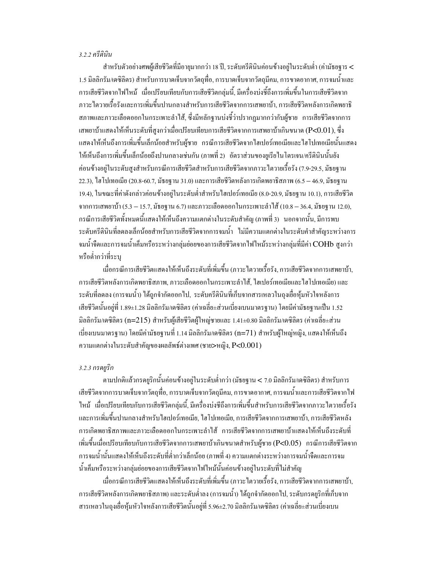#### 3.2.2 ครีตินิน

สำหรับตัวอย่างศพผู้เสียชีวิตที่มีอายุมากกว่า 18 ปี, ระดับกรีตินินก่อนข้างอยู่ในระดับต่ำ (ก่ามัธยฐาร < 1.5 มิลลิกรัม/เคซิลิตร) สำหรับการบาดเจ็บจากวัตถุที่อ, การบาดเจ็บจากวัตถุมีคม, การขาดอากาศ, การจมน้ำและ ิการเสียชีวิตจากไฟไหม้ เมื่อเปรียบเทียบกับการเสียชีวิตกลุ่มนี้, มีเครื่องบ่งชี้ถึงการเพิ่มขึ้นในการเสียชีวิตจาก ภาวะไตวายเรื้อรังและการเพิ่มขึ้นปานกลางสำหรับการเสียชีวิตจากการเสพยาบ้า, การเสียชีวิตหลังการเกิดพยาธิ ิสภาพและภาวะเลือดออกในกระเพาะลำใส้, ซึ่งมีหลักฐานบ่งซึ่ว่าปรากฏมากกว่ากับผู้ชาย การเสียชีวิตจากการ เสพยาบ้าแสดงให้เห็นระดับที่สูงกว่าเมื่อเปรียบเทียบการเสียชีวิตจากการเสพยาบ้าเกินขนาด (P<0.01), ซึ่ง แสดงให้เห็นถึงการเพิ่มขึ้นเล็กน้อยสำหรับผ้ชาย กรณีการเสียชีวิตจากใฮเปอร์เทอเมียและไฮโปเทอเมียนั้นแสดง ให้เห็นถึงการเพิ่มขึ้นเล็กน้อยถึงปานกลางเช่นกัน (ภาพที่ 2) อัตราส่วนของยูเรียไนโตรเจน/ครีตินินนั้นยัง ้ค่อนข้างอยู่ในระดับสูงสำหรับกรณีการเสียชีวิตสำหรับการเสียชีวิตจากภาวะ ใตวายเรื้อรัง (7.9-29.5, มัธยฐาน 22.3), ไฮโปเทอเมีย (20.8-60.7, มัธยฐาน 31.0) และการเสียชีวิตหลังการเกิดพยาธิสภาพ (6.5  $-$  46.9, มัธยฐาน 19.4), ในขณะที่ค่าดังกล่าวค่อนข้างอยู่ในระดับต่ำสำหรับใฮเปอร์เทอเมีย (8.0-20.9, มัธยฐาน 10.1), การเสียชีวิต จากการเสพยาบ้า (5.3 – 15.7, มัธยฐาน 6.7) และภาวะเลือดออกในกระเพาะลำใส้ (10.8 – 36.4, มัธยฐาน 12.0), ี กรณีการเสียชีวิตทั้งหมดนี้แสดงให้เห็นถึงความแตกต่างในระดับสำคัญ (ภาพที่ 3) นอกจากนั้น, มีการพบ ้ระดับครีตินินที่ลดลงเล็กน้อยสำหรับการเสียชีวิตจากการจมน้ำ ไม่มีความแตกต่างในระดับคำสำคัญระหว่างการ ึ่งมน้ำจืดและการจมน้ำเค็มหรือระหว่างกลุ่มย่อยของการเสียชีวิตจากไฟไหม้ระหว่างกลุ่มที่มีค่า COHb สูงกว่า หรือต่ำกว่าที่ระบ

เมื่อกรณีการเสียชีวิตแสดงให้เห็นถึงระดับที่เพิ่มขึ้น (ภาวะไตวายเรื้อรัง, การเสียชีวิตจากการเสพยาบ้า, ิการเสียชีวิตหลังการเกิดพยาธิสภาพ, ภาวะเลือดออกในกระเพาะลำใส้, ไฮเปอร์เทอเมียและไฮโปเทอเมีย) และ ้ระดับที่ลดลง (การจมน้ำ) ได้ถูกจำกัดออกไป, ระดับครีตินินที่เก็บจากสารเหลวในถุงเยื่อหุ้มหัวใจหลังการ ้เสียชีวิตนั้นอย่ที่ 1.89±1.28 มิลลิกรัม/เคซิลิตร (ค่าเฉลี่ย±ส่วนเบี่ยงเบนมาตรฐาน) โดยมีค่ามัธยฐานเป็น 1.52 ้มิลลิกรัม/เคซิลิตร (n=215) สำหรับผู้เสียชีวิตผู้ใหญ่ชายและ 1.41±0.80 มิลลิกรัม/เคซิลิตร (ค่าเฉลี่ย±ส่วน เบี่ยงเบนมาตรฐาน) โดยมีก่ามัธยฐานที่ 1.14 มิลลิกรัม/เดซิลิตร (n=71) สำหรับผู้ใหญ่หญิง, แสดงให้เห็นถึง ความแตกต่างในระดับสำคัญของผลลัพธ์ต่างเพศ (ชาย>หญิง, P<0.001)

#### 3.2.3 กรดยูริก

ตามปกติแล้วกรดยูริกนั้นก่อนข้างอยู่ในระดับต่ำกว่า (มัธยฐาน < 7.0 มิลลิกรัม/เดซิลิตร) สำหรับการ เสียชีวิตจากการบาดเจ็บจากวัตถุที่อ, การบาดเจ็บจากวัตถุมีคม, การขาดอากาศ, การจมน้ำและการเสียชีวิตจากไฟ ไหม้ เมื่อเปรียบเทียบกับการเสียชีวิตกลุ่มนี้, มีเครื่องบ่งซีถึงการเพิ่มขึ้นสำหรับการเสียชีวิตจากภาวะไตวายเรื้อรัง และการเพิ่มขึ้นปานกลางสำหรับไฮเปอร์เทอเมีย, ไฮโปเทอเมีย, การเสียชีวิตจากการเสพยาบ้า, การเสียชีวิตหลัง การเกิดพยาธิสภาพและภาวะเลือดออกในกระเพาะลำไส้ การเสียชีวิตจากการเสพยาบ้าแสดงให้เห็นถึงระดับที่ เพิ่มขึ้นเมื่อเปรียบเทียบกับการเสียชีวิตจากการเสพยาบ้าเกินขนาดสำหรับผู้ชาย (P<0.05) กรณีการเสียชีวิตจาก ึการจมน้ำนั้นแสดงให้เห็นถึงระดับที่ต่ำกว่าเล็กน้อย (ภาพที่ 4) ความแตกต่างระหว่างการจมน้ำจืดและการจม น้ำเค็มหรือระหว่างกลุ่มย่อยของการเสียชีวิตจากไฟไหม้นั้นค่อนข้างอยู่ในระดับที่ไม่สำคัญ

เมื่อกรณีการเสียชีวิตแสดงให้เห็นถึงระดับที่เพิ่มขึ้น (ภาวะ'ไตวายเรื้อรัง, การเสียชีวิตจากการเสพยาบ้า, ึการเสียชีวิตหลังการเกิดพยาธิสภาพ) และระดับต่ำลง (การจมน้ำ) ใค้ถูกจำกัดออกไป, ระดับกรดยูริกที่เก็บจาก ิ สารเหลวในถุงเยื่อหุ้มหัวใจหลังการเสียชีวิตนั้นอยู่ที่ 5.96±2.70 มิลลิกรัม/เคซิลิตร (ค่าเฉลี่ย±ส่วนเบี่ยงเบน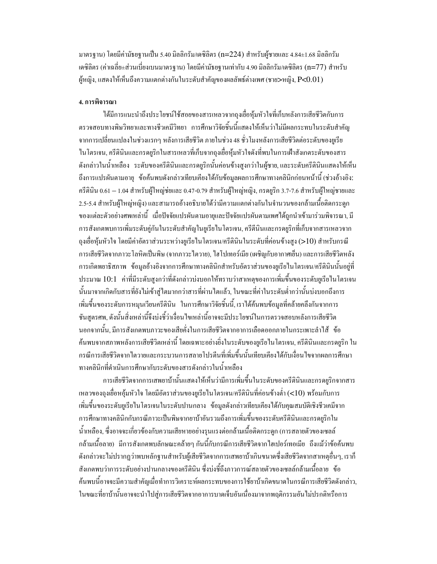มาตรฐาน) โดยมีก่ามัธยฐานเป็น 5.40 มิลลิกรัม/เดซิลิตร (n=224) สำหรับผู้ชายและ 4.84±1.68 มิลลิกรัม เคซิลิตร (ค่าเฉลี่ย±ส่วนเบี่ยงเบนมาตรฐาน) โดยมีค่ามัธยฐานเท่ากับ 4.90 มิลลิกรัม/เคซิลิตร (n=77) สำหรับ ผู้หญิง, แสดงให้เห็นถึงความแตกต่างกันในระดับสำคัญของผลลัพธ์ต่างเพศ (ชาย>หญิง, P<0.01)

# 4. การพิจารณา

ใด้มีการแนะนำถึงประโยชน์ใช้สอยของสารเหลวจากถงเยื่อห้มหัวใจที่เก็บหลังการเสียชีวิตกับการ ้ตรวจสอบทางพิษวิทยาและทางชีวเคมีวิทยา การศึกษาวิจัยชิ้นนี้แสดงให้เห็นว่าไม่มีผลกระทบในระดับสำคัญ จากการเปลี่ยนแปลงในช่วงแรกๆ หลังการเสียชีวิต ภายในช่วง 48 ชั่วโมงหลังการเสียชีวิตต่อระดับของยูเรีย ในโตรเจน, ครีตินินและกรดยูริกในสารเหลวที่เก็บจากถุงเยื่อหุ้มหัวใจดังที่พบในการเฝ้าสังเกตระดับของสาร ้ดังกล่าวในน้ำเหลือง ระดับของครีตินินและกรดยูริกนั้นค่อนข้างสูงกว่าในผู้ชาย และระดับครีตินินแสดงให้เห็น ้ถึงการแปรผันตามอายุ ข้อค้นพบดังกล่าวเทียบเกียงใค้กับข้อมูลผลการศึกษาทางคลินิกก่อนหน้านี้ (ช่วงอ้างอิง: ครีตินิน 0.61 – 1.04 สำหรับผู้ใหญ่ช่ยและ 0.47-0.79 สำหรับผู้ใหญ่หญิง, กรดยูริก 3.7-7.6 สำหรับผู้ใหญ่ชายและ 2.5-5.4 สำหรับผู้ใหญ่หญิง) และสามารถอ้างอธิบายได้ว่ามีความแตกต่างกันในจำนวนของกล้ามเนื้อติดกระดูก ี ของแต่ละตัวอย่างศพเหล่านี้ เมื่อปัจจัยแปรผันตามอายุและปัจจัยแปรผันตามเพศได้ถูกนำเข้ามาร่วมพิจารณา, มี การสังเกตพบการเพิ่มระดับคู่กันในระดับสำคัญในยูเรียในโตรเจน, ครีตีนินและกรดยูริกที่เก็บจากสารเหลวจาก ถุงเยื่อหุ้มหัวใจ โดยมีค่าอัตราส่วนระหว่างยูเรียในโตรเจน/ครีตินินในระดับที่ค่อนข้างสูง (>10) สำหรับกรณี การเสียชีวิตจากภาวะ โลหิตเป็นพิษ (จากภาวะใตวาย), ใฮโปเทอร์เมีย (เผชิญกับอากาศเย็น) และการเสียชีวิตหลัง ึการเกิดพยาธิสภาพ ข้อมูลอ้างอิงจากการศึกษาทางคลินิกสำหรับอัตราส่วนของยูเรียในโตรเจน/ครีตินินนั้นอยู่ที่ ประมาณ 10:1 ค่าที่มีระดับสูงกว่าที่ดังกล่าวบ่งบอกให้ทราบว่าสาเหตุของการเพิ่มขึ้นของระดับยูเรียในโตรเจน นั้นมาจากเกิดกับสารที่ยังไม่เข้าสู่ไตมากกว่าสารที่ผ่านไตแล้ว, ในขณะที่ค่าในระดับต่ำกว่านั้นบ่งบอกถึงการ เพิ่มขึ้นของระดับการหมุนเวียนครีตินิน ในการศึกษาวิจัยชิ้นนี้, เราได้ก้นพบข้อมูลที่กล้ายกลึงกันจากการ ชันสูตรศพ, ดังนั้นสิ่งเหล่านี้จึงบ่งชี้ว่าเงื่อนไพเหล่านี้อาจจะมีประโยชน์ในการตรวจสอบหลังการเสียชีวิต นอกจากนั้น มีการสังเกตพบภาวะของเสียคั่งในการเสียชีวิตจากอาการเลือดออกภายในกระเพาะลำไส้ ข้อ ้ค้นพบจากสภาพหลังการเสียชีวิตเหล่านี้ โดยเฉพาะอย่างยิ่งในระดับของยูเรียในโตรเจน, ครีตินินและกรดยูริก ใน ้กรณีการเสียชีวิตจากไตวายและกระบวนการสลายโปรตีนที่เพิ่มขึ้นนั้นเทียบเคียงได้กับเงื่อนไขจากผลการศึกษา ทางคลินิกที่ดำเนินการศึกษากับระดับของสารดังกล่าวในน้ำเหลือง

การเสียชีวิตจากการเสพยาบ้านั้นแสดงให้เห็นว่ามีการเพิ่มขึ้นในระดับของครีตินินและกรดยูริกจากสาร เหลวของถุงเฮื่อหอุ้มหัวใจ โดยมีอัตราส่วนของยูเรียในโตรเจน/ครีตินินที่ก่อนข้างต่ำ (<10) พร้อมกับการ เพิ่มขึ้นของระดับยูเรียไนโตรเจนในระดับปานกลาง ข้อมูลดังกล่าวเทียบเกียงได้กับคุณสมบัติเชิงชีวเคมีจาก ึการศึกษาทางคลินิกกับกรณีภาวะเป็นพิษจากยาบ้าอันรวมถึงการเพิ่มขึ้นของระดับครีตินินและกรดยูริกใน น้ำเหลือง, ซึ่งอาจจะเกี่ยวข้องกับความเสียหายอย่างรุนแรงต่อกล้ามเนื้อติดกระดูก (การสลายตัวของเซลล์ ึกล้ามเนื้อลาย) มีการสังเกตพบลักษณะคล้ายๆ กันนี้กับกรณีการเสียชีวิตจาก ไฮเปอร์เทอเมีย ถึงแม้ว่าข้อค้นพบ ้ดังกล่าวจะไม่ปรากฏว่าพบหลักฐานสำหรับผู้เสียชีวิตจากการเสพยาบ้าเกินขนาดซึ่งเสียชีวิตจากสาเหตุอื่นๆ, เราก็ ้สังเกตพบว่าการระดับอย่างปานกลางของครีตินิน ซึ่งบ่งซี้ถึงภาวการณ์สลายตัวของเซลล์กล้ามเนื้อลาย ข้อ ้ค้นพบนี้อาจจะมีความสำคัญเมื่อทำการวิเคราะห์ผลกระทบของการใช้ยาบ้าเกิดขนาดในกรณีการเสียชีวิตดังกล่าว, ในขณะที่ยาบ้านั้นอาจจะนำไปส่การเสียชีวิตจากอาการบาดเจ็บอันเนื่องมาจากพฤติกรรมอันไม่ปรกติหรือการ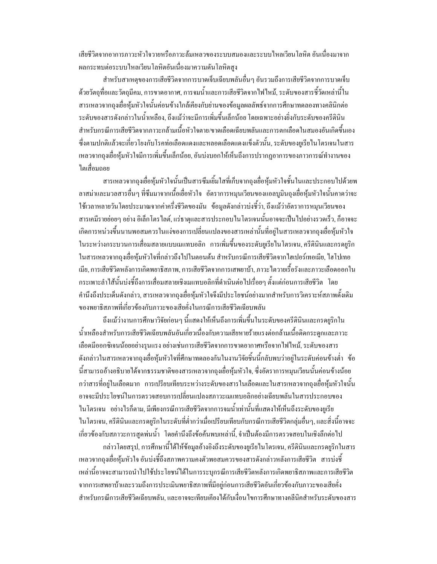เสียชีวิตจากอาการภาวะหัวใจวายหรือภาวะล้มเหลวของระบบสมองและระบบใหลเวียนโลหิต อันเนื่องมาจาก ผลกระทบต่อระบบไหลเวียนโลหิตอันเนื่องมาความดันโลหิตสง

้สำหรับสาเหตุของการเสียชีวิตจากการบาดเจ็บเฉียบพลันอื่นๆ อันรวมถึงการเสียชีวิตจากการบาดเจ็บ ้ค้วยวัตถุที่อและวัตถุมีคม, การขาดอากาศ, การจมน้ำและการเสียชีวิตจากไฟไหม้, ระดับของสารชี้วัดเหล่านี้ใน ิ สารเหลวจากถงเยื่อห้มหัวใจนั้นค่อนข้างใกล้เคียงกับย่านของข้อมลผลลัพธ์จากการศึกษาทดลองทางคลินิกต่อ ้ระดับของสารดังกล่าวในน้ำเหลือง, ถึงแม้ว่าจะมีการเพิ่มขึ้นเล็กน้อย โดยเฉพาะอย่างยิ่งกับระดับของครีตินิน ี สำหรับกรณีการเสียชีวิตจากภาวะกล้ามเนื้อหัวใจตาย/ขาดเลือดเฉียบพลันและการตกเลือดในสมองอันเกิดขึ้นเอง ่ ซึ่งตามปกติแล้วจะเกี่ยวโยงกับโรคท่อเลือดแดงและหลอดเลือดแดงแข็งตัวนั้น, ระดับของยเรียไนโตรเจนในสาร เหลวจากถงเยื่อห้มหัวใจมีการเพิ่มขึ้นเล็กน้อย, อันบ่งบอกให้เห็นถึงการปรากฏอาการของภาวการณ์ทำงานของ ไตเสื้อมถอย

ี่ สารเหลวจากถงเยื่อห้มหัวใจนั้นเป็นสารซึมเยิ้มใสที่เก็บจากถงเยื่อห้มหัวใจชั้นในและประกอบไปด้วยพ ิลาสม่าและมวลสารอื่นๆ ที่ซึมมาจากเนื้อเยื่อหัวใจ อัตราการหมนเวียนของแอลบมินถงเยื่อห้มหัวใจนั้นคาคว่าจะ ใช้เวลาหลายวันโดยประมาณจากค่าครึ่งชีวิตของมัน ข้อมูลดังกล่าวบ่งชี้ว่า ถึงแม้ว่าอัตราการหมุนเวียนของ ี่ สารเคมีรายย่อยๆ อย่าง อิเล็กโตร ไลต์, แร่ธาตุและสารประกอบ ในโตรเจนนั้นอาจจะเป็น ไปอย่างรวดเร็ว, ก็อาจจะ ้เกิดการหน่วงขึ้นนานพอสมควรในแง่ของการเปลี่ยนแปลงของสารเหล่านั้นที่อยู่ในสารเหลวจากถุงเยื่อหุ้มหัวใจ ในระหว่างกระบวนการเสื่อมสลายแบบเมแทบอลิก การเพิ่มขึ้นของระดับยูเรียไนโตรเจน, ครีตินินและกรดยูริก ในสารเหลวจากถุงเชื่อหุ้มหัวใจที่กล่าวถึงไปในตอนต้น สำหรับกรณีการเสียชีวิตจากไฮเปอร์เทอเมีย, ไฮโปเทอ เมีย, การเสียชีวิตหลังการเกิดพยาธิสภาพ, การเสียชีวิตจากการเสพยาบ้า, ภาวะ ใตวายเรื้อรังและภาวะเลือดออกใน ึกระเพาะลำไส้นั้นบ่งชี้ถึงการเสื่อมสลายเชิงเมแทบอลิกที่คำเนินต่อไปเรื่อยๆ ตั้งแต่ก่อนการเสียชีวิต โดย ้คำนึงถึงประเด็นดังกล่าว. สารเหลวจากถงเยื่อห้มหัวใจจึงมีประโยชน์อย่างมากสำหรับการวิเคราะห์สภาพดั้งเดิม ของพยาธิสภาพที่เกี่ยวข้องกับภาวะของเสียคั่งในกรณีการเสียชีวิตเฉียบพลัน

ถึงแม้ว่างานการศึกษาวิจัยก่อนๆ นี้แสดงให้เห็นถึงการเพิ่มขึ้นในระดับของครีตินินและกรดยริกใน น้ำเหลืองสำหรับการเสียชีวิตเฉียบพลันอันเกี่ยวเนื่องกับความเสียหายร้ายแรงต่อกล้ามเนื้อติดกระดูกและภาวะ เลือดมืออกซิเจนน้อยอย่างรนแรง อย่างเช่นการเสียชีวิตจากการขาดอากาศหรือจากไฟไหม้. ระดับของสาร ้ดังกล่าวในสารเหลวจากถุงเยื่อหุ้มหัวใจที่ศึกษาทดลองกันในงานวิจัยชิ้นนี้กลับพบว่าอยู่ในระดับค่อนข้างต่ำ ข้อ นี้สามารถอ้างอธิบายได้จากธรรมชาติของสารเหลวจากถุงเยื่อหุ้มหัวใจ, ซึ่งอัตราการหมุนเวียนนั้นค่อนข้างน้อย ึกว่าสารที่อยู่ในเลือดมาก การเปรียบเทียบระหว่างระดับของสารในเลือดและในสารเหลวจากถุงเยื่อหุ้มหัวใจนั้น ้อาจจะมีประโยชน์ในการตรวจสอบการเปลี่ยนแปลงสภาวะเมแทบอลิกอย่างเฉียบพลันในสารประกอบของ ในโตรเจน อย่างไรก็ตาม มีเพียงกรณีการเสียชีวิตจากการจมน้ำเท่านั้นที่แสดงให้เห็นถึงระดับของยเรีย ในโตรเจน, ครีดินินและกรดยุริกในระดับที่ต่ำกว่าเมื่อเปรียบเทียบกับกรณีการเสียชีวิตกลุ่มอื่นๆ, และสิ่งนี้อาจจะ ้เกี่ยวข้องกับสภาวะการสุดพ่นน้ำ โดยคำนึงถึงข้อค้นพบเหล่านี้, จำเป็นต้องมีการตรวจสอบในเชิงลึกต่อไป

กล่าวโดยสรุป, การศึกษานี้ได้ให้ข้อมูลอ้างอิงถึงระดับของยูเรียไนโตรเจน, ครีตินินและกรดยูริกในสาร เหลวจากถุงเยื่อหุ้มหัวใจ อันบ่งชี้ถึงสภาพความคงตัวพอสมควรของสารดังกล่าวหลังการเสียชีวิต สารบ่งชี้ เหล่านี้อาจจะสามารถนำไปใช้ประโยชน์ได้ในการระบุกรณีการเสียชีวิตหลังการเกิดพยาธิสภาพและการเสียชีวิต จากการเสพยาบ้าและรวมถึงการประเมินพยาธิสภาพที่มีอย่ก่อนการเสียชีวิตอันเกี่ยวข้องกับภาวะของเสียคั่ง ้สำหรับกรณีการเสียชีวิตเฉียบพลัน, และอาจจะเทียบเคียงใค้กับเงื่อนใงการศึกษาทางคลีนิคสำหรับระดับของสาร